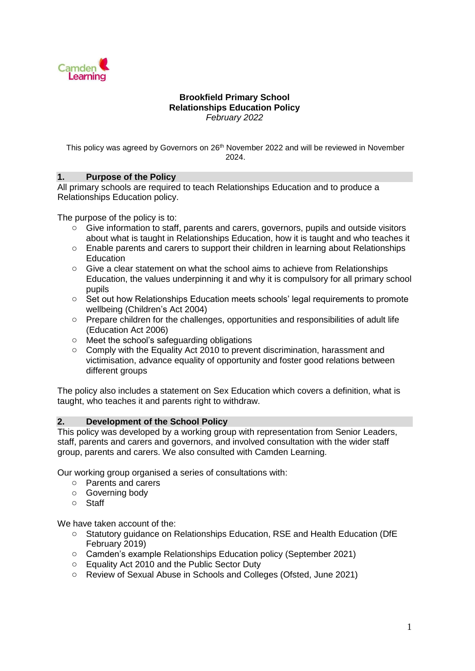

## **Brookfield Primary School Relationships Education Policy**  *February 2022*

This policy was agreed by Governors on 26<sup>th</sup> November 2022 and will be reviewed in November 2024.

## **1. Purpose of the Policy**

All primary schools are required to teach Relationships Education and to produce a Relationships Education policy.

The purpose of the policy is to:

- o Give information to staff, parents and carers, governors, pupils and outside visitors about what is taught in Relationships Education, how it is taught and who teaches it
- o Enable parents and carers to support their children in learning about Relationships Education
- $\circ$  Give a clear statement on what the school aims to achieve from Relationships Education, the values underpinning it and why it is compulsory for all primary school pupils
- o Set out how Relationships Education meets schools' legal requirements to promote wellbeing (Children's Act 2004)
- $\circ$  Prepare children for the challenges, opportunities and responsibilities of adult life (Education Act 2006)
- o Meet the school's safeguarding obligations
- o Comply with the Equality Act 2010 to prevent discrimination, harassment and victimisation, advance equality of opportunity and foster good relations between different groups

The policy also includes a statement on Sex Education which covers a definition, what is taught, who teaches it and parents right to withdraw.

## **2. Development of the School Policy**

This policy was developed by a working group with representation from Senior Leaders, staff, parents and carers and governors, and involved consultation with the wider staff group, parents and carers. We also consulted with Camden Learning*.*

Our working group organised a series of consultations with:

- o Parents and carers
- o Governing body
- o Staff

We have taken account of the:

- o Statutory guidance on Relationships Education, RSE and Health Education (DfE February 2019)
- o Camden's example Relationships Education policy (September 2021)
- o Equality Act 2010 and the Public Sector Duty
- o Review of Sexual Abuse in Schools and Colleges (Ofsted, June 2021)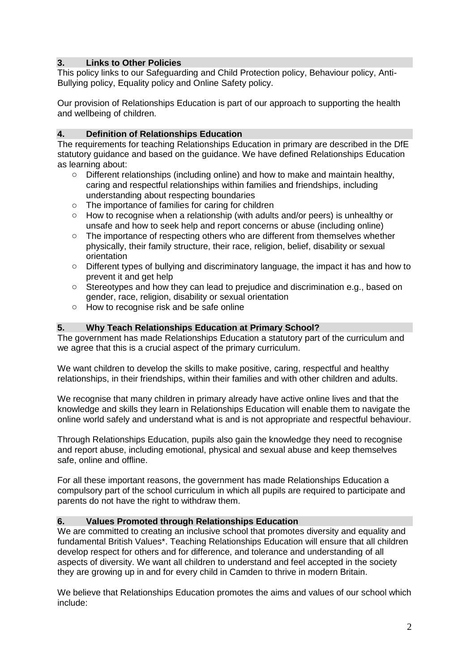## **3. Links to Other Policies**

This policy links to our Safeguarding and Child Protection policy, Behaviour policy, Anti-Bullying policy, Equality policy and Online Safety policy.

Our provision of Relationships Education is part of our approach to supporting the health and wellbeing of children.

## **4. Definition of Relationships Education**

The requirements for teaching Relationships Education in primary are described in the DfE statutory guidance and based on the guidance. We have defined Relationships Education as learning about:

- o Different relationships (including online) and how to make and maintain healthy, caring and respectful relationships within families and friendships, including understanding about respecting boundaries
- o The importance of families for caring for children
- o How to recognise when a relationship (with adults and/or peers) is unhealthy or unsafe and how to seek help and report concerns or abuse (including online)
- $\circ$  The importance of respecting others who are different from themselves whether physically, their family structure, their race, religion, belief, disability or sexual orientation
- o Different types of bullying and discriminatory language, the impact it has and how to prevent it and get help
- o Stereotypes and how they can lead to prejudice and discrimination e.g., based on gender, race, religion, disability or sexual orientation
- o How to recognise risk and be safe online

#### **5. Why Teach Relationships Education at Primary School?**

The government has made Relationships Education a statutory part of the curriculum and we agree that this is a crucial aspect of the primary curriculum.

We want children to develop the skills to make positive, caring, respectful and healthy relationships, in their friendships, within their families and with other children and adults.

We recognise that many children in primary already have active online lives and that the knowledge and skills they learn in Relationships Education will enable them to navigate the online world safely and understand what is and is not appropriate and respectful behaviour.

Through Relationships Education, pupils also gain the knowledge they need to recognise and report abuse, including emotional, physical and sexual abuse and keep themselves safe, online and offline.

For all these important reasons, the government has made Relationships Education a compulsory part of the school curriculum in which all pupils are required to participate and parents do not have the right to withdraw them.

## **6. Values Promoted through Relationships Education**

We are committed to creating an inclusive school that promotes diversity and equality and fundamental British Values\*. Teaching Relationships Education will ensure that all children develop respect for others and for difference, and tolerance and understanding of all aspects of diversity. We want all children to understand and feel accepted in the society they are growing up in and for every child in Camden to thrive in modern Britain.

We believe that Relationships Education promotes the aims and values of our school which include: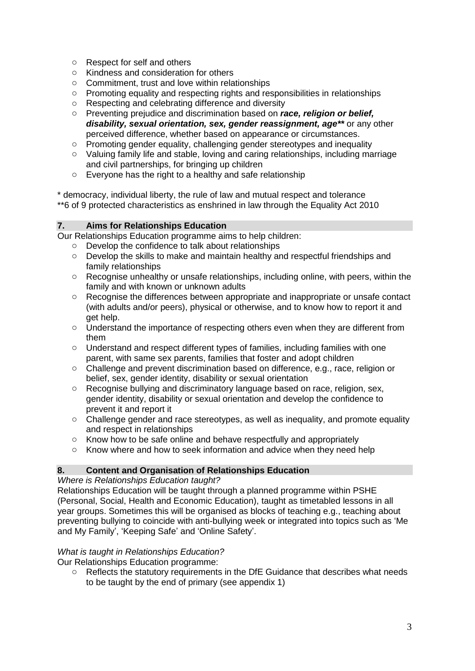- o Respect for self and others
- o Kindness and consideration for others
- o Commitment, trust and love within relationships
- o Promoting equality and respecting rights and responsibilities in relationships
- o Respecting and celebrating difference and diversity
- o Preventing prejudice and discrimination based on *race, religion or belief, disability, sexual orientation, sex, gender reassignment, age\*\** or any other perceived difference, whether based on appearance or circumstances.
- o Promoting gender equality, challenging gender stereotypes and inequality
- o Valuing family life and stable, loving and caring relationships, including marriage and civil partnerships, for bringing up children
- o Everyone has the right to a healthy and safe relationship

\* democracy, individual liberty, the rule of law and mutual respect and tolerance \*\*6 of 9 protected characteristics as enshrined in law through the Equality Act 2010

## **7. Aims for Relationships Education**

Our Relationships Education programme aims to help children:

- o Develop the confidence to talk about relationships
- o Develop the skills to make and maintain healthy and respectful friendships and family relationships
- o Recognise unhealthy or unsafe relationships, including online, with peers, within the family and with known or unknown adults
- $\circ$  Recognise the differences between appropriate and inappropriate or unsafe contact (with adults and/or peers), physical or otherwise, and to know how to report it and get help.
- o Understand the importance of respecting others even when they are different from them
- o Understand and respect different types of families, including families with one parent, with same sex parents, families that foster and adopt children
- o Challenge and prevent discrimination based on difference, e.g., race, religion or belief, sex, gender identity, disability or sexual orientation
- $\circ$  Recognise bullying and discriminatory language based on race, religion, sex, gender identity, disability or sexual orientation and develop the confidence to prevent it and report it
- $\circ$  Challenge gender and race stereotypes, as well as inequality, and promote equality and respect in relationships
- o Know how to be safe online and behave respectfully and appropriately
- o Know where and how to seek information and advice when they need help

## **8. Content and Organisation of Relationships Education**

*Where is Relationships Education taught?*

Relationships Education will be taught through a planned programme within PSHE (Personal, Social, Health and Economic Education), taught as timetabled lessons in all year groups. Sometimes this will be organised as blocks of teaching e.g., teaching about preventing bullying to coincide with anti-bullying week or integrated into topics such as 'Me and My Family', 'Keeping Safe' and 'Online Safety'.

## *What is taught in Relationships Education?*

Our Relationships Education programme:

 $\circ$  Reflects the statutory requirements in the DfE Guidance that describes what needs to be taught by the end of primary (see appendix 1)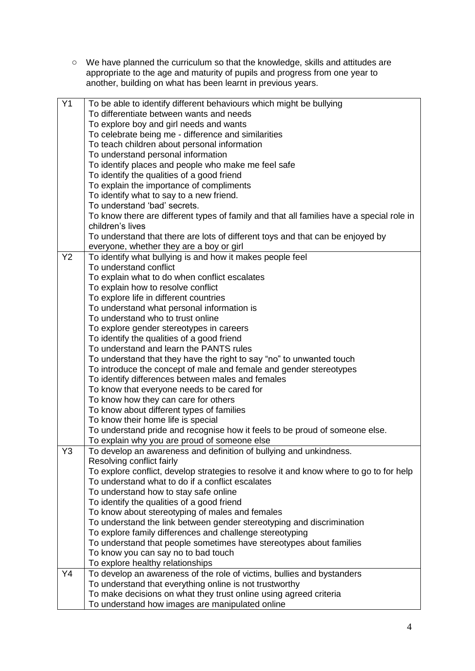o We have planned the curriculum so that the knowledge, skills and attitudes are appropriate to the age and maturity of pupils and progress from one year to another, building on what has been learnt in previous years.

| Y1             | To be able to identify different behaviours which might be bullying                      |  |  |  |  |
|----------------|------------------------------------------------------------------------------------------|--|--|--|--|
|                | To differentiate between wants and needs                                                 |  |  |  |  |
|                | To explore boy and girl needs and wants                                                  |  |  |  |  |
|                | To celebrate being me - difference and similarities                                      |  |  |  |  |
|                | To teach children about personal information                                             |  |  |  |  |
|                | To understand personal information                                                       |  |  |  |  |
|                | To identify places and people who make me feel safe                                      |  |  |  |  |
|                | To identify the qualities of a good friend                                               |  |  |  |  |
|                | To explain the importance of compliments                                                 |  |  |  |  |
|                | To identify what to say to a new friend.                                                 |  |  |  |  |
|                | To understand 'bad' secrets.                                                             |  |  |  |  |
|                | To know there are different types of family and that all families have a special role in |  |  |  |  |
|                | children's lives                                                                         |  |  |  |  |
|                | To understand that there are lots of different toys and that can be enjoyed by           |  |  |  |  |
|                | everyone, whether they are a boy or girl                                                 |  |  |  |  |
| Y <sub>2</sub> | To identify what bullying is and how it makes people feel                                |  |  |  |  |
|                | To understand conflict                                                                   |  |  |  |  |
|                | To explain what to do when conflict escalates                                            |  |  |  |  |
|                | To explain how to resolve conflict                                                       |  |  |  |  |
|                | To explore life in different countries                                                   |  |  |  |  |
|                | To understand what personal information is                                               |  |  |  |  |
|                | To understand who to trust online                                                        |  |  |  |  |
|                | To explore gender stereotypes in careers                                                 |  |  |  |  |
|                | To identify the qualities of a good friend                                               |  |  |  |  |
|                | To understand and learn the PANTS rules                                                  |  |  |  |  |
|                | To understand that they have the right to say "no" to unwanted touch                     |  |  |  |  |
|                | To introduce the concept of male and female and gender stereotypes                       |  |  |  |  |
|                | To identify differences between males and females                                        |  |  |  |  |
|                | To know that everyone needs to be cared for                                              |  |  |  |  |
|                | To know how they can care for others                                                     |  |  |  |  |
|                | To know about different types of families                                                |  |  |  |  |
|                | To know their home life is special                                                       |  |  |  |  |
|                | To understand pride and recognise how it feels to be proud of someone else.              |  |  |  |  |
|                | To explain why you are proud of someone else                                             |  |  |  |  |
| Y3             | To develop an awareness and definition of bullying and unkindness.                       |  |  |  |  |
|                | Resolving conflict fairly                                                                |  |  |  |  |
|                | To explore conflict, develop strategies to resolve it and know where to go to for help   |  |  |  |  |
|                | To understand what to do if a conflict escalates                                         |  |  |  |  |
|                | To understand how to stay safe online                                                    |  |  |  |  |
|                | To identify the qualities of a good friend                                               |  |  |  |  |
|                | To know about stereotyping of males and females                                          |  |  |  |  |
|                | To understand the link between gender stereotyping and discrimination                    |  |  |  |  |
|                | To explore family differences and challenge stereotyping                                 |  |  |  |  |
|                | To understand that people sometimes have stereotypes about families                      |  |  |  |  |
|                | To know you can say no to bad touch                                                      |  |  |  |  |
|                | To explore healthy relationships                                                         |  |  |  |  |
| Y4             | To develop an awareness of the role of victims, bullies and bystanders                   |  |  |  |  |
|                | To understand that everything online is not trustworthy                                  |  |  |  |  |
|                | To make decisions on what they trust online using agreed criteria                        |  |  |  |  |
|                | To understand how images are manipulated online                                          |  |  |  |  |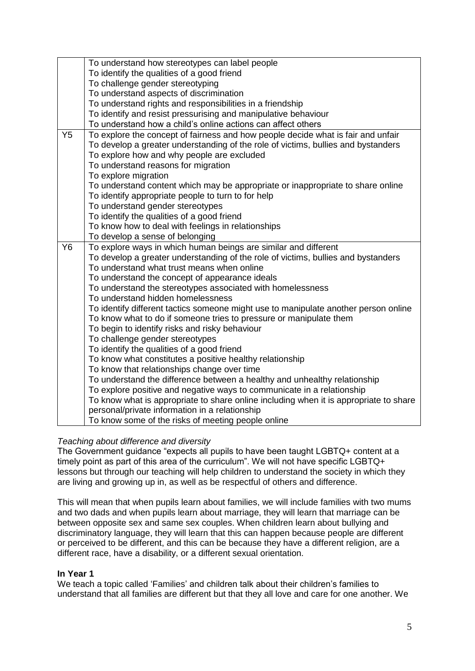|                | To understand how stereotypes can label people                                                       |
|----------------|------------------------------------------------------------------------------------------------------|
|                | To identify the qualities of a good friend                                                           |
|                | To challenge gender stereotyping                                                                     |
|                | To understand aspects of discrimination                                                              |
|                | To understand rights and responsibilities in a friendship                                            |
|                | To identify and resist pressurising and manipulative behaviour                                       |
|                | To understand how a child's online actions can affect others                                         |
| Y <sub>5</sub> | To explore the concept of fairness and how people decide what is fair and unfair                     |
|                | To develop a greater understanding of the role of victims, bullies and bystanders                    |
|                | To explore how and why people are excluded                                                           |
|                | To understand reasons for migration                                                                  |
|                | To explore migration                                                                                 |
|                | To understand content which may be appropriate or inappropriate to share online                      |
|                | To identify appropriate people to turn to for help                                                   |
|                | To understand gender stereotypes                                                                     |
|                | To identify the qualities of a good friend                                                           |
|                | To know how to deal with feelings in relationships                                                   |
|                | To develop a sense of belonging                                                                      |
|                |                                                                                                      |
| Y6             | To explore ways in which human beings are similar and different                                      |
|                | To develop a greater understanding of the role of victims, bullies and bystanders                    |
|                | To understand what trust means when online                                                           |
|                | To understand the concept of appearance ideals                                                       |
|                | To understand the stereotypes associated with homelessness                                           |
|                | To understand hidden homelessness                                                                    |
|                | To identify different tactics someone might use to manipulate another person online                  |
|                | To know what to do if someone tries to pressure or manipulate them                                   |
|                | To begin to identify risks and risky behaviour                                                       |
|                | To challenge gender stereotypes                                                                      |
|                | To identify the qualities of a good friend                                                           |
|                | To know what constitutes a positive healthy relationship                                             |
|                | To know that relationships change over time                                                          |
|                | To understand the difference between a healthy and unhealthy relationship                            |
|                | To explore positive and negative ways to communicate in a relationship                               |
|                | To know what is appropriate to share online including when it is appropriate to share                |
|                | personal/private information in a relationship<br>To know some of the risks of meeting people online |

## *Teaching about difference and diversity*

The Government guidance "expects all pupils to have been taught LGBTQ+ content at a timely point as part of this area of the curriculum". We will not have specific LGBTQ+ lessons but through our teaching will help children to understand the society in which they are living and growing up in, as well as be respectful of others and difference.

This will mean that when pupils learn about families, we will include families with two mums and two dads and when pupils learn about marriage, they will learn that marriage can be between opposite sex and same sex couples. When children learn about bullying and discriminatory language, they will learn that this can happen because people are different or perceived to be different, and this can be because they have a different religion, are a different race, have a disability, or a different sexual orientation.

## **In Year 1**

We teach a topic called 'Families' and children talk about their children's families to understand that all families are different but that they all love and care for one another. We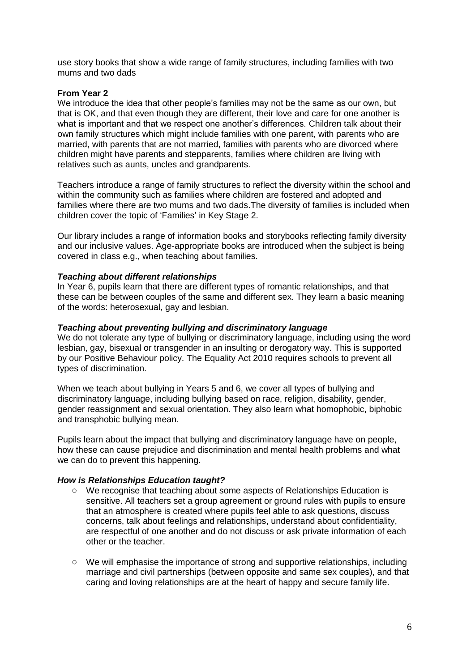use story books that show a wide range of family structures, including families with two mums and two dads

## **From Year 2**

We introduce the idea that other people's families may not be the same as our own, but that is OK, and that even though they are different, their love and care for one another is what is important and that we respect one another's differences. Children talk about their own family structures which might include families with one parent, with parents who are married, with parents that are not married, families with parents who are divorced where children might have parents and stepparents, families where children are living with relatives such as aunts, uncles and grandparents.

Teachers introduce a range of family structures to reflect the diversity within the school and within the community such as families where children are fostered and adopted and families where there are two mums and two dads.The diversity of families is included when children cover the topic of 'Families' in Key Stage 2.

Our library includes a range of information books and storybooks reflecting family diversity and our inclusive values. Age-appropriate books are introduced when the subject is being covered in class e.g., when teaching about families.

#### *Teaching about different relationships*

In Year 6, pupils learn that there are different types of romantic relationships, and that these can be between couples of the same and different sex. They learn a basic meaning of the words: heterosexual, gay and lesbian.

#### *Teaching about preventing bullying and discriminatory language*

We do not tolerate any type of bullying or discriminatory language, including using the word lesbian, gay, bisexual or transgender in an insulting or derogatory way. This is supported by our Positive Behaviour policy. The Equality Act 2010 requires schools to prevent all types of discrimination.

When we teach about bullying in Years 5 and 6, we cover all types of bullying and discriminatory language, including bullying based on race, religion, disability, gender, gender reassignment and sexual orientation. They also learn what homophobic, biphobic and transphobic bullying mean.

Pupils learn about the impact that bullying and discriminatory language have on people, how these can cause prejudice and discrimination and mental health problems and what we can do to prevent this happening.

#### *How is Relationships Education taught?*

- o We recognise that teaching about some aspects of Relationships Education is sensitive. All teachers set a group agreement or ground rules with pupils to ensure that an atmosphere is created where pupils feel able to ask questions, discuss concerns, talk about feelings and relationships, understand about confidentiality, are respectful of one another and do not discuss or ask private information of each other or the teacher.
- o We will emphasise the importance of strong and supportive relationships, including marriage and civil partnerships (between opposite and same sex couples), and that caring and loving relationships are at the heart of happy and secure family life.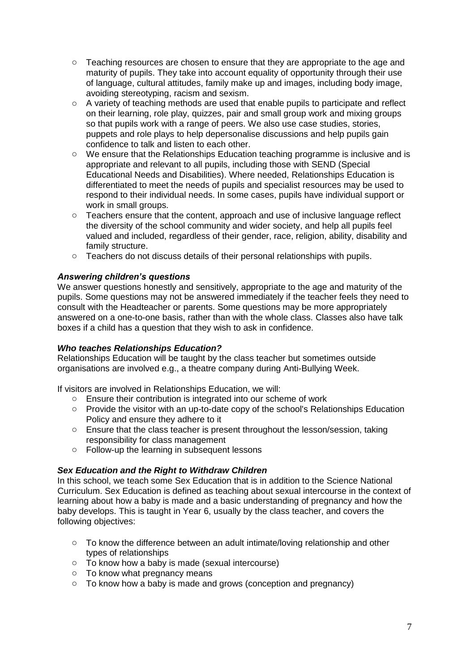- $\circ$  Teaching resources are chosen to ensure that they are appropriate to the age and maturity of pupils. They take into account equality of opportunity through their use of language, cultural attitudes, family make up and images, including body image, avoiding stereotyping, racism and sexism.
- $\circ$  A variety of teaching methods are used that enable pupils to participate and reflect on their learning, role play, quizzes, pair and small group work and mixing groups so that pupils work with a range of peers. We also use case studies, stories, puppets and role plays to help depersonalise discussions and help pupils gain confidence to talk and listen to each other.
- o We ensure that the Relationships Education teaching programme is inclusive and is appropriate and relevant to all pupils, including those with SEND (Special Educational Needs and Disabilities). Where needed, Relationships Education is differentiated to meet the needs of pupils and specialist resources may be used to respond to their individual needs. In some cases, pupils have individual support or work in small groups.
- o Teachers ensure that the content, approach and use of inclusive language reflect the diversity of the school community and wider society, and help all pupils feel valued and included, regardless of their gender, race, religion, ability, disability and family structure.
- o Teachers do not discuss details of their personal relationships with pupils.

## *Answering children's questions*

We answer questions honestly and sensitively, appropriate to the age and maturity of the pupils. Some questions may not be answered immediately if the teacher feels they need to consult with the Headteacher or parents. Some questions may be more appropriately answered on a one-to-one basis, rather than with the whole class. Classes also have talk boxes if a child has a question that they wish to ask in confidence.

## *Who teaches Relationships Education?*

Relationships Education will be taught by the class teacher but sometimes outside organisations are involved e.g., a theatre company during Anti-Bullying Week.

If visitors are involved in Relationships Education, we will:

- o Ensure their contribution is integrated into our scheme of work
- $\circ$  Provide the visitor with an up-to-date copy of the school's Relationships Education Policy and ensure they adhere to it
- $\circ$  Ensure that the class teacher is present throughout the lesson/session, taking responsibility for class management
- o Follow-up the learning in subsequent lessons

## *Sex Education and the Right to Withdraw Children*

In this school, we teach some Sex Education that is in addition to the Science National Curriculum. Sex Education is defined as teaching about sexual intercourse in the context of learning about how a baby is made and a basic understanding of pregnancy and how the baby develops. This is taught in Year 6, usually by the class teacher, and covers the following objectives:

- o To know the difference between an adult intimate/loving relationship and other types of relationships
- o To know how a baby is made (sexual intercourse)
- o To know what pregnancy means
- $\circ$  To know how a baby is made and grows (conception and pregnancy)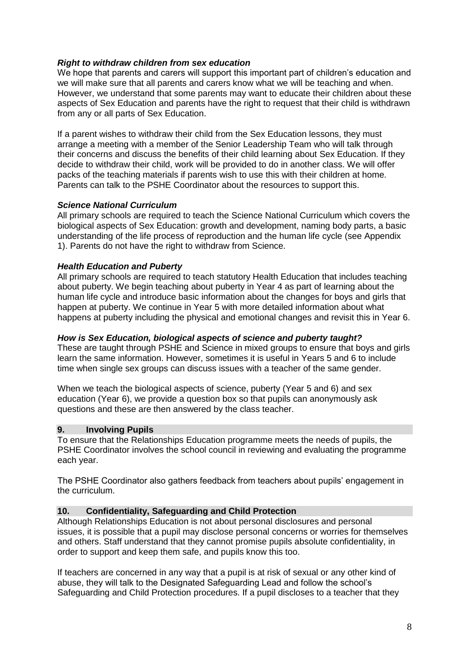## *Right to withdraw children from sex education*

We hope that parents and carers will support this important part of children's education and we will make sure that all parents and carers know what we will be teaching and when. However, we understand that some parents may want to educate their children about these aspects of Sex Education and parents have the right to request that their child is withdrawn from any or all parts of Sex Education.

If a parent wishes to withdraw their child from the Sex Education lessons, they must arrange a meeting with a member of the Senior Leadership Team who will talk through their concerns and discuss the benefits of their child learning about Sex Education. If they decide to withdraw their child, work will be provided to do in another class. We will offer packs of the teaching materials if parents wish to use this with their children at home. Parents can talk to the PSHE Coordinator about the resources to support this.

## *Science National Curriculum*

All primary schools are required to teach the Science National Curriculum which covers the biological aspects of Sex Education: growth and development, naming body parts, a basic understanding of the life process of reproduction and the human life cycle (see Appendix 1). Parents do not have the right to withdraw from Science.

#### *Health Education and Puberty*

All primary schools are required to teach statutory Health Education that includes teaching about puberty. We begin teaching about puberty in Year 4 as part of learning about the human life cycle and introduce basic information about the changes for boys and girls that happen at puberty. We continue in Year 5 with more detailed information about what happens at puberty including the physical and emotional changes and revisit this in Year 6.

#### *How is Sex Education, biological aspects of science and puberty taught?*

These are taught through PSHE and Science in mixed groups to ensure that boys and girls learn the same information. However, sometimes it is useful in Years 5 and 6 to include time when single sex groups can discuss issues with a teacher of the same gender.

When we teach the biological aspects of science, puberty (Year 5 and 6) and sex education (Year 6), we provide a question box so that pupils can anonymously ask questions and these are then answered by the class teacher.

#### **9. Involving Pupils**

To ensure that the Relationships Education programme meets the needs of pupils, the PSHE Coordinator involves the school council in reviewing and evaluating the programme each year.

The PSHE Coordinator also gathers feedback from teachers about pupils' engagement in the curriculum.

#### **10. Confidentiality, Safeguarding and Child Protection**

Although Relationships Education is not about personal disclosures and personal issues, it is possible that a pupil may disclose personal concerns or worries for themselves and others. Staff understand that they cannot promise pupils absolute confidentiality, in order to support and keep them safe, and pupils know this too.

If teachers are concerned in any way that a pupil is at risk of sexual or any other kind of abuse, they will talk to the Designated Safeguarding Lead and follow the school's Safeguarding and Child Protection procedures. If a pupil discloses to a teacher that they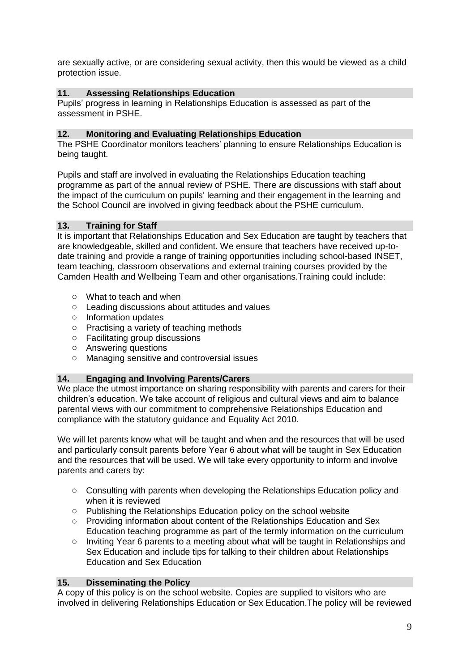are sexually active, or are considering sexual activity, then this would be viewed as a child protection issue.

## **11. Assessing Relationships Education**

Pupils' progress in learning in Relationships Education is assessed as part of the assessment in PSHE.

### **12. Monitoring and Evaluating Relationships Education**

The PSHE Coordinator monitors teachers' planning to ensure Relationships Education is being taught.

Pupils and staff are involved in evaluating the Relationships Education teaching programme as part of the annual review of PSHE. There are discussions with staff about the impact of the curriculum on pupils' learning and their engagement in the learning and the School Council are involved in giving feedback about the PSHE curriculum.

#### **13. Training for Staff**

It is important that Relationships Education and Sex Education are taught by teachers that are knowledgeable, skilled and confident. We ensure that teachers have received up-todate training and provide a range of training opportunities including school-based INSET, team teaching, classroom observations and external training courses provided by the Camden Health and Wellbeing Team and other organisations.Training could include:

- o What to teach and when
- o Leading discussions about attitudes and values
- o Information updates
- o Practising a variety of teaching methods
- o Facilitating group discussions
- o Answering questions
- o Managing sensitive and controversial issues

#### **14. Engaging and Involving Parents/Carers**

We place the utmost importance on sharing responsibility with parents and carers for their children's education. We take account of religious and cultural views and aim to balance parental views with our commitment to comprehensive Relationships Education and compliance with the statutory guidance and Equality Act 2010.

We will let parents know what will be taught and when and the resources that will be used and particularly consult parents before Year 6 about what will be taught in Sex Education and the resources that will be used. We will take every opportunity to inform and involve parents and carers by:

- o Consulting with parents when developing the Relationships Education policy and when it is reviewed
- o Publishing the Relationships Education policy on the school website
- o Providing information about content of the Relationships Education and Sex Education teaching programme as part of the termly information on the curriculum
- $\circ$  Inviting Year 6 parents to a meeting about what will be taught in Relationships and Sex Education and include tips for talking to their children about Relationships Education and Sex Education

#### **15. Disseminating the Policy**

A copy of this policy is on the school website. Copies are supplied to visitors who are involved in delivering Relationships Education or Sex Education.The policy will be reviewed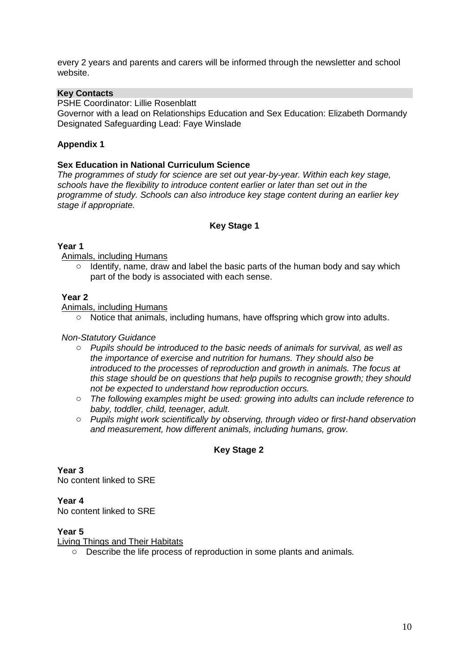every 2 years and parents and carers will be informed through the newsletter and school website.

## **Key Contacts**

PSHE Coordinator: Lillie Rosenblatt

Governor with a lead on Relationships Education and Sex Education: Elizabeth Dormandy Designated Safeguarding Lead: Faye Winslade

## **Appendix 1**

### **Sex Education in National Curriculum Science**

*The programmes of study for science are set out year-by-year. Within each key stage, schools have the flexibility to introduce content earlier or later than set out in the programme of study. Schools can also introduce key stage content during an earlier key stage if appropriate.* 

## **Key Stage 1**

## **Year 1**

Animals, including Humans

 $\circ$  Identify, name, draw and label the basic parts of the human body and say which part of the body is associated with each sense.

#### **Year 2**

Animals, including Humans

 $\circ$  Notice that animals, including humans, have offspring which grow into adults.

#### *Non-Statutory Guidance*

- o *Pupils should be introduced to the basic needs of animals for survival, as well as the importance of exercise and nutrition for humans. They should also be introduced to the processes of reproduction and growth in animals. The focus at this stage should be on questions that help pupils to recognise growth; they should not be expected to understand how reproduction occurs.*
- o *The following examples might be used: growing into adults can include reference to baby, toddler, child, teenager, adult.*
- o *Pupils might work scientifically by observing, through video or first-hand observation and measurement, how different animals, including humans, grow.*

## **Key Stage 2**

**Year 3**  No content linked to SRE

## **Year 4**

No content linked to SRE

## **Year 5**

Living Things and Their Habitats

o Describe the life process of reproduction in some plants and animals*.*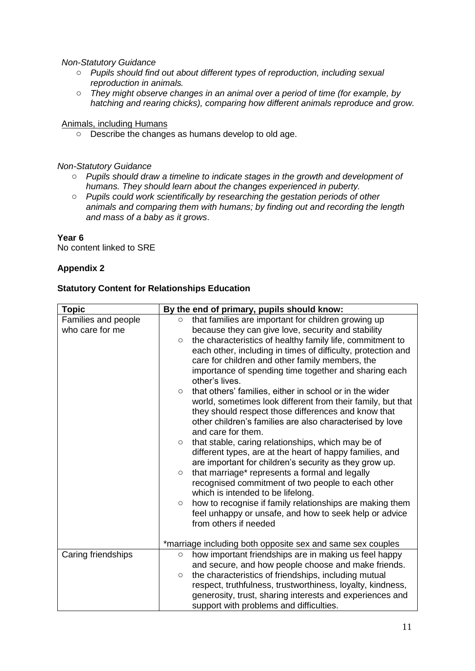*Non-Statutory Guidance*

- o *Pupils should find out about different types of reproduction, including sexual reproduction in animals.*
- o *They might observe changes in an animal over a period of time (for example, by hatching and rearing chicks), comparing how different animals reproduce and grow.*

Animals, including Humans

o Describe the changes as humans develop to old age.

*Non-Statutory Guidance*

- o *Pupils should draw a timeline to indicate stages in the growth and development of humans. They should learn about the changes experienced in puberty.*
- o *Pupils could work scientifically by researching the gestation periods of other animals and comparing them with humans; by finding out and recording the length and mass of a baby as it grows*.

#### **Year 6**

No content linked to SRE

## **Appendix 2**

#### **Statutory Content for Relationships Education**

| <b>Topic</b>        | By the end of primary, pupils should know:                           |
|---------------------|----------------------------------------------------------------------|
| Families and people | that families are important for children growing up<br>$\circ$       |
| who care for me     | because they can give love, security and stability                   |
|                     | the characteristics of healthy family life, commitment to<br>$\circ$ |
|                     | each other, including in times of difficulty, protection and         |
|                     | care for children and other family members, the                      |
|                     | importance of spending time together and sharing each                |
|                     | other's lives.                                                       |
|                     | that others' families, either in school or in the wider<br>$\circ$   |
|                     | world, sometimes look different from their family, but that          |
|                     | they should respect those differences and know that                  |
|                     | other children's families are also characterised by love             |
|                     | and care for them.                                                   |
|                     | that stable, caring relationships, which may be of<br>$\circ$        |
|                     | different types, are at the heart of happy families, and             |
|                     | are important for children's security as they grow up.               |
|                     | that marriage* represents a formal and legally<br>$\circ$            |
|                     | recognised commitment of two people to each other                    |
|                     | which is intended to be lifelong.                                    |
|                     | how to recognise if family relationships are making them<br>$\circ$  |
|                     | feel unhappy or unsafe, and how to seek help or advice               |
|                     | from others if needed                                                |
|                     |                                                                      |
|                     | *marriage including both opposite sex and same sex couples           |
| Caring friendships  | how important friendships are in making us feel happy<br>$\circ$     |
|                     | and secure, and how people choose and make friends.                  |
|                     | the characteristics of friendships, including mutual<br>$\circ$      |
|                     | respect, truthfulness, trustworthiness, loyalty, kindness,           |
|                     | generosity, trust, sharing interests and experiences and             |
|                     | support with problems and difficulties.                              |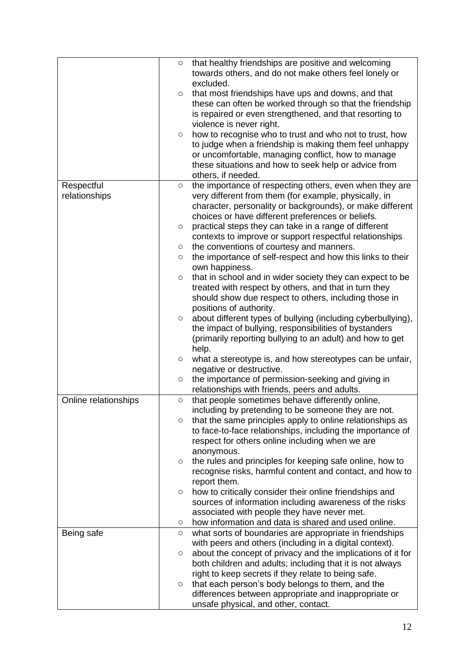|                      | O       | that healthy friendships are positive and welcoming          |
|----------------------|---------|--------------------------------------------------------------|
|                      |         | towards others, and do not make others feel lonely or        |
|                      |         | excluded.                                                    |
|                      | $\circ$ | that most friendships have ups and downs, and that           |
|                      |         | these can often be worked through so that the friendship     |
|                      |         | is repaired or even strengthened, and that resorting to      |
|                      |         | violence is never right.                                     |
|                      | $\circ$ | how to recognise who to trust and who not to trust, how      |
|                      |         | to judge when a friendship is making them feel unhappy       |
|                      |         | or uncomfortable, managing conflict, how to manage           |
|                      |         | these situations and how to seek help or advice from         |
|                      |         | others, if needed.                                           |
| Respectful           | $\circ$ | the importance of respecting others, even when they are      |
| relationships        |         | very different from them (for example, physically, in        |
|                      |         | character, personality or backgrounds), or make different    |
|                      |         | choices or have different preferences or beliefs.            |
|                      | $\circ$ | practical steps they can take in a range of different        |
|                      |         | contexts to improve or support respectful relationships      |
|                      | $\circ$ | the conventions of courtesy and manners.                     |
|                      | $\circ$ | the importance of self-respect and how this links to their   |
|                      |         | own happiness.                                               |
|                      | $\circ$ | that in school and in wider society they can expect to be    |
|                      |         | treated with respect by others, and that in turn they        |
|                      |         | should show due respect to others, including those in        |
|                      |         | positions of authority.                                      |
|                      | $\circ$ | about different types of bullying (including cyberbullying), |
|                      |         | the impact of bullying, responsibilities of bystanders       |
|                      |         | (primarily reporting bullying to an adult) and how to get    |
|                      |         | help.                                                        |
|                      | $\circ$ | what a stereotype is, and how stereotypes can be unfair,     |
|                      |         | negative or destructive.                                     |
|                      | $\circ$ | the importance of permission-seeking and giving in           |
|                      |         | relationships with friends, peers and adults.                |
| Online relationships | $\circ$ | that people sometimes behave differently online,             |
|                      |         | including by pretending to be someone they are not.          |
|                      | $\circ$ | that the same principles apply to online relationships as    |
|                      |         | to face-to-face relationships, including the importance of   |
|                      |         | respect for others online including when we are              |
|                      |         | anonymous.                                                   |
|                      | $\circ$ | the rules and principles for keeping safe online, how to     |
|                      |         | recognise risks, harmful content and contact, and how to     |
|                      |         | report them.                                                 |
|                      | $\circ$ | how to critically consider their online friendships and      |
|                      |         | sources of information including awareness of the risks      |
|                      |         | associated with people they have never met.                  |
|                      | $\circ$ | how information and data is shared and used online.          |
| Being safe           | $\circ$ | what sorts of boundaries are appropriate in friendships      |
|                      |         | with peers and others (including in a digital context).      |
|                      | $\circ$ | about the concept of privacy and the implications of it for  |
|                      |         | both children and adults; including that it is not always    |
|                      |         | right to keep secrets if they relate to being safe.          |
|                      | $\circ$ | that each person's body belongs to them, and the             |
|                      |         | differences between appropriate and inappropriate or         |
|                      |         | unsafe physical, and other, contact.                         |